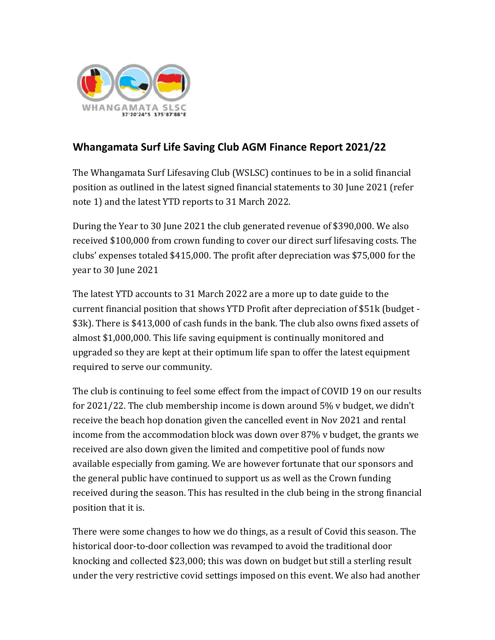

## **Whangamata Surf Life Saving Club AGM Finance Report 2021/22**

The Whangamata Surf Lifesaving Club (WSLSC) continues to be in a solid financial position as outlined in the latest signed financial statements to 30 June 2021 (refer note 1) and the latest YTD reports to 31 March 2022.

During the Year to 30 June 2021 the club generated revenue of \$390,000. We also received \$100,000 from crown funding to cover our direct surf lifesaving costs. The clubs' expenses totaled \$415,000. The profit after depreciation was \$75,000 for the year to 30 June 2021

The latest YTD accounts to 31 March 2022 are a more up to date guide to the current financial position that shows YTD Profit after depreciation of \$51k (budget - \$3k). There is \$413,000 of cash funds in the bank. The club also owns fixed assets of almost \$1,000,000. This life saving equipment is continually monitored and upgraded so they are kept at their optimum life span to offer the latest equipment required to serve our community.

The club is continuing to feel some effect from the impact of COVID 19 on our results for 2021/22. The club membership income is down around 5% v budget, we didn't receive the beach hop donation given the cancelled event in Nov 2021 and rental income from the accommodation block was down over 87% v budget, the grants we received are also down given the limited and competitive pool of funds now available especially from gaming. We are however fortunate that our sponsors and the general public have continued to support us as well as the Crown funding received during the season. This has resulted in the club being in the strong financial position that it is.

There were some changes to how we do things, as a result of Covid this season. The historical door-to-door collection was revamped to avoid the traditional door knocking and collected \$23,000; this was down on budget but still a sterling result under the very restrictive covid settings imposed on this event. We also had another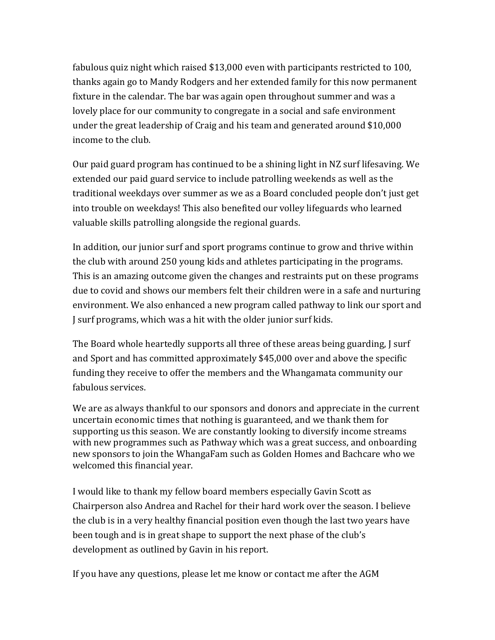fabulous quiz night which raised \$13,000 even with participants restricted to 100, thanks again go to Mandy Rodgers and her extended family for this now permanent fixture in the calendar. The bar was again open throughout summer and was a lovely place for our community to congregate in a social and safe environment under the great leadership of Craig and his team and generated around \$10,000 income to the club.

Our paid guard program has continued to be a shining light in NZ surf lifesaving. We extended our paid guard service to include patrolling weekends as well as the traditional weekdays over summer as we as a Board concluded people don't just get into trouble on weekdays! This also benefited our volley lifeguards who learned valuable skills patrolling alongside the regional guards.

In addition, our junior surf and sport programs continue to grow and thrive within the club with around 250 young kids and athletes participating in the programs. This is an amazing outcome given the changes and restraints put on these programs due to covid and shows our members felt their children were in a safe and nurturing environment. We also enhanced a new program called pathway to link our sport and J surf programs, which was a hit with the older junior surf kids.

The Board whole heartedly supports all three of these areas being guarding, J surf and Sport and has committed approximately \$45,000 over and above the specific funding they receive to offer the members and the Whangamata community our fabulous services.

We are as always thankful to our sponsors and donors and appreciate in the current uncertain economic times that nothing is guaranteed, and we thank them for supporting us this season. We are constantly looking to diversify income streams with new programmes such as Pathway which was a great success, and onboarding new sponsors to join the WhangaFam such as Golden Homes and Bachcare who we welcomed this financial year.

I would like to thank my fellow board members especially Gavin Scott as Chairperson also Andrea and Rachel for their hard work over the season. I believe the club is in a very healthy financial position even though the last two years have been tough and is in great shape to support the next phase of the club's development as outlined by Gavin in his report.

If you have any questions, please let me know or contact me after the AGM